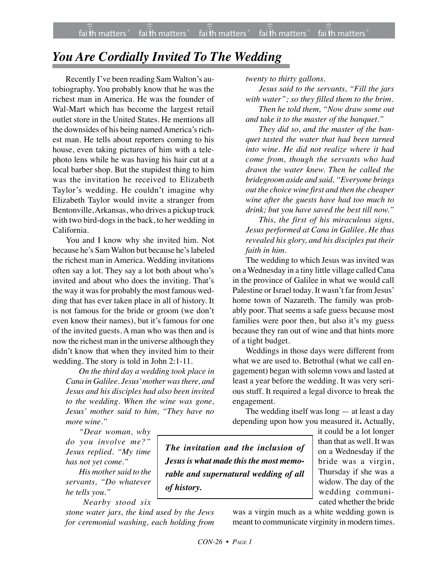## *You Are Cordially Invited To The Wedding*

Recently I've been reading Sam Walton's autobiography. You probably know that he was the richest man in America. He was the founder of Wal-Mart which has become the largest retail outlet store in the United States. He mentions all the downsides of his being named America's richest man. He tells about reporters coming to his house, even taking pictures of him with a telephoto lens while he was having his hair cut at a local barber shop. But the stupidest thing to him was the invitation he received to Elizabeth Taylor's wedding. He couldn't imagine why Elizabeth Taylor would invite a stranger from Bentonville,Arkansas, who drives a pickup truck with two bird-dogs in the back, to her wedding in California.

You and I know why she invited him. Not because he's Sam Walton but because he's labeled the richest man in America. Wedding invitations often say a lot. They say a lot both about who's invited and about who does the inviting. That's the way it was for probably the most famous wedding that has ever taken place in all of history. It is not famous for the bride or groom (we don't even know their names), but it's famous for one of the invited guests. A man who was then and is now the richest man in the universe although they didn't know that when they invited him to their wedding. The story is told in John 2:1-11.

*On the third day a wedding took place in Cana in Galilee. Jesus' mother was there, and Jesus and his disciples had also been invited to the wedding. When the wine was gone, Jesus' mother said to him, "They have no more wine."*

*twenty to thirty gallons.*

*Jesus said to the servants, "Fill the jars with water"; so they filled them to the brim. Then he told them, "Now draw some out and take it to the master of the banquet."*

*They did so, and the master of the banquet tasted the water that had been turned into wine. He did not realize where it had come from, though the servants who had drawn the water knew. Then he called the bridegroom aside and said, "Everyone brings out the choice wine first and then the cheaper wine after the guests have had too much to drink; but you have saved the best till now."*

*This, the first of his miraculous signs, Jesus performed at Cana in Galilee. He thus revealed his glory, and his disciples put their faith in him.*

The wedding to which Jesus was invited was on a Wednesday in a tiny little village called Cana in the province of Galilee in what we would call Palestine or Israel today. It wasn't far from Jesus' home town of Nazareth. The family was probably poor. That seems a safe guess because most families were poor then, but also it's my guess because they ran out of wine and that hints more of a tight budget.

Weddings in those days were different from what we are used to. Betrothal (what we call engagement) began with solemn vows and lasted at least a year before the wedding. It was very serious stuff. It required a legal divorce to break the engagement.

The wedding itself was long — at least a day depending upon how you measured it**.** Actually,

*"Dear woman, why do you involve me?" Jesus replied. "My time has not yet come."*

*His mother said to the servants, "Do whatever he tells you."*

*Nearby stood six*

*stone water jars, the kind used by the Jews for ceremonial washing, each holding from*

*The invitation and the inclusion of Jesus is what made this the most memorable and supernatural wedding of all of history.*

it could be a lot longer than that as well. It was on a Wednesday if the bride was a virgin, Thursday if she was a widow. The day of the wedding communicated whether the bride

was a virgin much as a white wedding gown is meant to communicate virginity in modern times.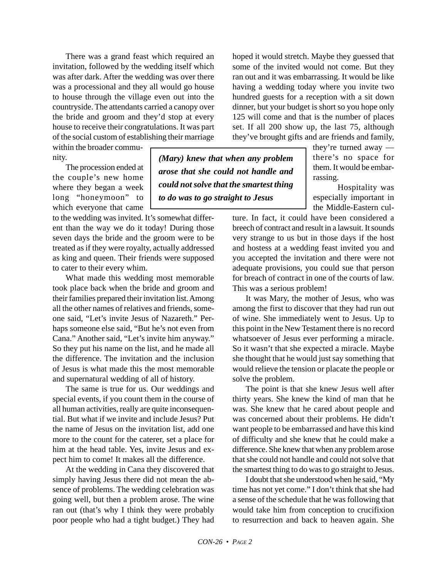There was a grand feast which required an invitation, followed by the wedding itself which was after dark. After the wedding was over there was a processional and they all would go house to house through the village even out into the countryside. The attendants carried a canopy over the bride and groom and they'd stop at every house to receive their congratulations. It was part of the social custom of establishing their marriage

within the broader community.

The procession ended at the couple's new home where they began a week long "honeymoon" to which everyone that came

to the wedding was invited. It's somewhat different than the way we do it today! During those seven days the bride and the groom were to be treated as if they were royalty, actually addressed as king and queen. Their friends were supposed to cater to their every whim.

What made this wedding most memorable took place back when the bride and groom and their families prepared their invitation list. Among all the other names of relatives and friends, someone said, "Let's invite Jesus of Nazareth." Perhaps someone else said, "But he's not even from Cana." Another said, "Let's invite him anyway." So they put his name on the list, and he made all the difference. The invitation and the inclusion of Jesus is what made this the most memorable and supernatural wedding of all of history.

The same is true for us. Our weddings and special events, if you count them in the course of all human activities, really are quite inconsequential. But what if we invite and include Jesus? Put the name of Jesus on the invitation list, add one more to the count for the caterer, set a place for him at the head table. Yes, invite Jesus and expect him to come! It makes all the difference.

At the wedding in Cana they discovered that simply having Jesus there did not mean the absence of problems. The wedding celebration was going well, but then a problem arose. The wine ran out (that's why I think they were probably poor people who had a tight budget.) They had

*(Mary) knew that when any problem arose that she could not handle and could not solve that the smartest thing to do was to go straight to Jesus*

hoped it would stretch. Maybe they guessed that some of the invited would not come. But they ran out and it was embarrassing. It would be like having a wedding today where you invite two hundred guests for a reception with a sit down dinner, but your budget is short so you hope only 125 will come and that is the number of places set. If all 200 show up, the last 75, although they've brought gifts and are friends and family,

they're turned away there's no space for them. It would be embarrassing.

Hospitality was especially important in the Middle-Eastern cul-

ture. In fact, it could have been considered a breech of contract and result in a lawsuit. It sounds very strange to us but in those days if the host and hostess at a wedding feast invited you and you accepted the invitation and there were not adequate provisions, you could sue that person for breach of contract in one of the courts of law. This was a serious problem!

It was Mary, the mother of Jesus, who was among the first to discover that they had run out of wine. She immediately went to Jesus. Up to this point in the New Testament there is no record whatsoever of Jesus ever performing a miracle. So it wasn't that she expected a miracle. Maybe she thought that he would just say something that would relieve the tension or placate the people or solve the problem.

The point is that she knew Jesus well after thirty years. She knew the kind of man that he was. She knew that he cared about people and was concerned about their problems. He didn't want people to be embarrassed and have this kind of difficulty and she knew that he could make a difference. She knew that when any problem arose that she could not handle and could not solve that the smartest thing to do was to go straight to Jesus.

I doubt that she understood when he said, "My time has not yet come." I don't think that she had a sense of the schedule that he was following that would take him from conception to crucifixion to resurrection and back to heaven again. She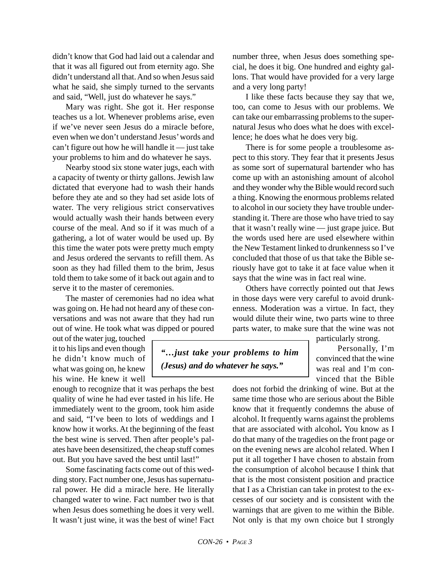didn't know that God had laid out a calendar and that it was all figured out from eternity ago. She didn't understand all that. And so when Jesus said what he said, she simply turned to the servants and said, "Well, just do whatever he says."

Mary was right. She got it. Her response teaches us a lot. Whenever problems arise, even if we've never seen Jesus do a miracle before, even when we don't understand Jesus' words and can't figure out how he will handle it — just take your problems to him and do whatever he says.

Nearby stood six stone water jugs, each with a capacity of twenty or thirty gallons. Jewish law dictated that everyone had to wash their hands before they ate and so they had set aside lots of water. The very religious strict conservatives would actually wash their hands between every course of the meal. And so if it was much of a gathering, a lot of water would be used up. By this time the water pots were pretty much empty and Jesus ordered the servants to refill them. As soon as they had filled them to the brim, Jesus told them to take some of it back out again and to serve it to the master of ceremonies.

The master of ceremonies had no idea what was going on. He had not heard any of these conversations and was not aware that they had run out of wine. He took what was dipped or poured

out of the water jug, touched it to his lips and even though he didn't know much of what was going on, he knew his wine. He knew it well

enough to recognize that it was perhaps the best quality of wine he had ever tasted in his life. He immediately went to the groom, took him aside and said, "I've been to lots of weddings and I know how it works. At the beginning of the feast the best wine is served. Then after people's palates have been desensitized, the cheap stuff comes out. But you have saved the best until last!"

Some fascinating facts come out of this wedding story. Fact number one, Jesus has supernatural power. He did a miracle here. He literally changed water to wine. Fact number two is that when Jesus does something he does it very well. It wasn't just wine, it was the best of wine! Fact number three, when Jesus does something special, he does it big. One hundred and eighty gallons. That would have provided for a very large and a very long party!

I like these facts because they say that we, too, can come to Jesus with our problems. We can take our embarrassing problems to the supernatural Jesus who does what he does with excellence; he does what he does very big.

There is for some people a troublesome aspect to this story. They fear that it presents Jesus as some sort of supernatural bartender who has come up with an astonishing amount of alcohol and they wonder why the Bible would record such a thing. Knowing the enormous problems related to alcohol in our society they have trouble understanding it. There are those who have tried to say that it wasn't really wine — just grape juice. But the words used here are used elsewhere within the New Testament linked to drunkenness so I've concluded that those of us that take the Bible seriously have got to take it at face value when it says that the wine was in fact real wine.

Others have correctly pointed out that Jews in those days were very careful to avoid drunkenness. Moderation was a virtue. In fact, they would dilute their wine, two parts wine to three parts water, to make sure that the wine was not

*"…just take your problems to him (Jesus) and do whatever he says."*

particularly strong.

Personally, I'm convinced that the wine was real and I'm convinced that the Bible

does not forbid the drinking of wine. But at the same time those who are serious about the Bible know that it frequently condemns the abuse of alcohol. It frequently warns against the problems that are associated with alcohol**.** You know as I do that many of the tragedies on the front page or on the evening news are alcohol related. When I put it all together I have chosen to abstain from the consumption of alcohol because I think that that is the most consistent position and practice that I as a Christian can take in protest to the excesses of our society and is consistent with the warnings that are given to me within the Bible. Not only is that my own choice but I strongly